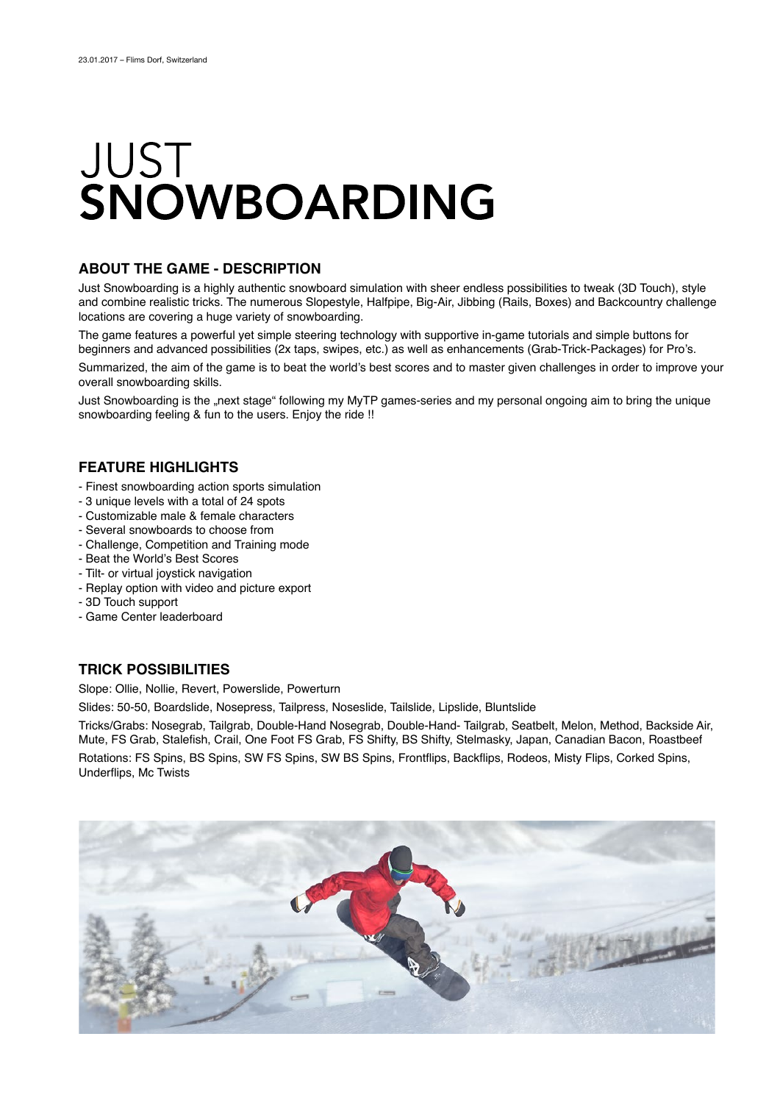# JUST SNOWBOARDING

#### **ABOUT THE GAME - DESCRIPTION**

Just Snowboarding is a highly authentic snowboard simulation with sheer endless possibilities to tweak (3D Touch), style and combine realistic tricks. The numerous Slopestyle, Halfpipe, Big-Air, Jibbing (Rails, Boxes) and Backcountry challenge locations are covering a huge variety of snowboarding.

The game features a powerful yet simple steering technology with supportive in-game tutorials and simple buttons for beginners and advanced possibilities (2x taps, swipes, etc.) as well as enhancements (Grab-Trick-Packages) for Pro's.

Summarized, the aim of the game is to beat the world's best scores and to master given challenges in order to improve your overall snowboarding skills.

Just Snowboarding is the "next stage" following my MyTP games-series and my personal ongoing aim to bring the unique snowboarding feeling & fun to the users. Enjoy the ride !!

### **FEATURE HIGHLIGHTS**

- Finest snowboarding action sports simulation
- 3 unique levels with a total of 24 spots
- Customizable male & female characters
- Several snowboards to choose from
- Challenge, Competition and Training mode
- Beat the World's Best Scores
- Tilt- or virtual joystick navigation
- Replay option with video and picture export
- 3D Touch support
- Game Center leaderboard

### **TRICK POSSIBILITIES**

Slope: Ollie, Nollie, Revert, Powerslide, Powerturn

Slides: 50-50, Boardslide, Nosepress, Tailpress, Noseslide, Tailslide, Lipslide, Bluntslide

Tricks/Grabs: Nosegrab, Tailgrab, Double-Hand Nosegrab, Double-Hand- Tailgrab, Seatbelt, Melon, Method, Backside Air, Mute, FS Grab, Stalefish, Crail, One Foot FS Grab, FS Shifty, BS Shifty, Stelmasky, Japan, Canadian Bacon, Roastbeef Rotations: FS Spins, BS Spins, SW FS Spins, SW BS Spins, Frontflips, Backflips, Rodeos, Misty Flips, Corked Spins, Underflips, Mc Twists